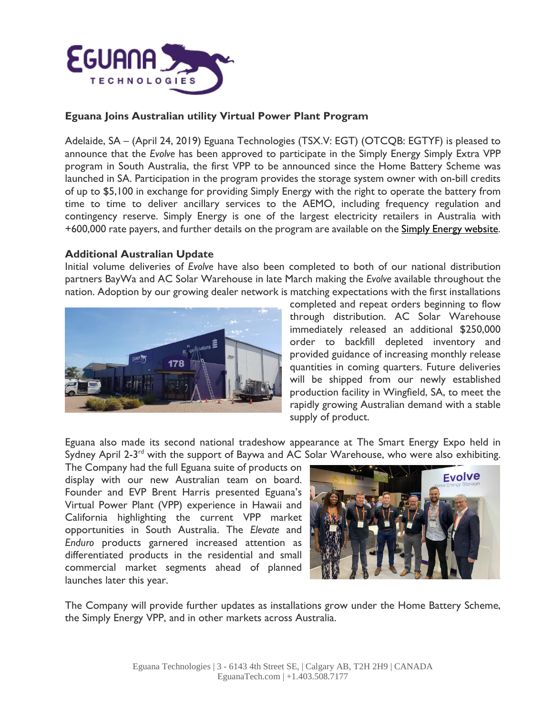

### **Eguana Joins Australian utility Virtual Power Plant Program**

Adelaide, SA – (April 24, 2019) Eguana Technologies (TSX.V: EGT) (OTCQB: EGTYF) is pleased to announce that the *Evolve* has been approved to participate in the Simply Energy Simply Extra VPP program in South Australia, the first VPP to be announced since the Home Battery Scheme was launched in SA. Participation in the program provides the storage system owner with on-bill credits of up to \$5,100 in exchange for providing Simply Energy with the right to operate the battery from time to time to deliver ancillary services to the AEMO, including frequency regulation and contingency reserve. Simply Energy is one of the largest electricity retailers in Australia with +600,000 rate payers, and further details on the program are available on the Simply Energy [website.](https://www.simplyenergy.com.au/energy-solutions/battery-storage/simply-extra-vpp-offer/)

#### **Additional Australian Update**

Initial volume deliveries of *Evolve* have also been completed to both of our national distribution partners BayWa and AC Solar Warehouse in late March making the *Evolve* available throughout the nation. Adoption by our growing dealer network is matching expectations with the first installations



completed and repeat orders beginning to flow through distribution. AC Solar Warehouse immediately released an additional \$250,000 order to backfill depleted inventory and provided guidance of increasing monthly release quantities in coming quarters. Future deliveries will be shipped from our newly established production facility in Wingfield, SA, to meet the rapidly growing Australian demand with a stable supply of product.

Eguana also made its second national tradeshow appearance at The Smart Energy Expo held in Sydney April 2-3<sup>rd</sup> with the support of Baywa and AC Solar Warehouse, who were also exhibiting.

The Company had the full Eguana suite of products on display with our new Australian team on board. Founder and EVP Brent Harris presented Eguana's Virtual Power Plant (VPP) experience in Hawaii and California highlighting the current VPP market opportunities in South Australia. The *Elevate* and *Enduro* products garnered increased attention as differentiated products in the residential and small commercial market segments ahead of planned launches later this year.



The Company will provide further updates as installations grow under the Home Battery Scheme, the Simply Energy VPP, and in other markets across Australia.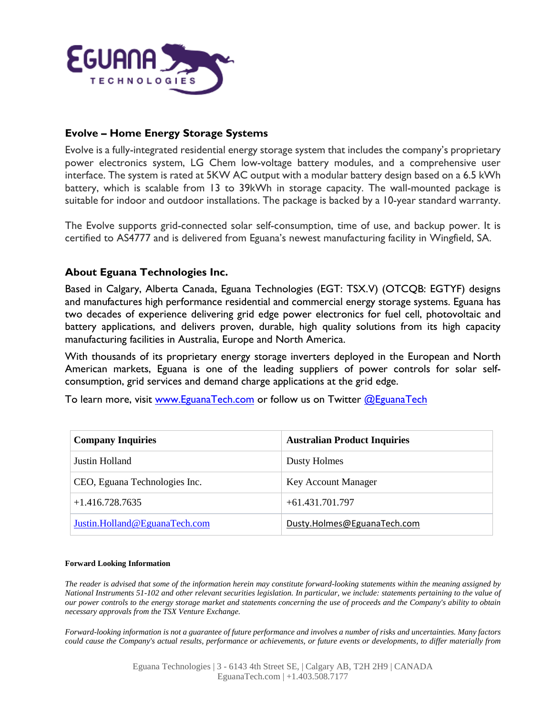

# **Evolve – Home Energy Storage Systems**

Evolve is a fully-integrated residential energy storage system that includes the company's proprietary power electronics system, LG Chem low-voltage battery modules, and a comprehensive user interface. The system is rated at 5KW AC output with a modular battery design based on a 6.5 kWh battery, which is scalable from 13 to 39kWh in storage capacity. The wall-mounted package is suitable for indoor and outdoor installations. The package is backed by a 10-year standard warranty.

The Evolve supports grid-connected solar self-consumption, time of use, and backup power. It is certified to AS4777 and is delivered from Eguana's newest manufacturing facility in Wingfield, SA.

# **About Eguana Technologies Inc.**

Based in Calgary, Alberta Canada, Eguana Technologies (EGT: TSX.V) (OTCQB: EGTYF) designs and manufactures high performance residential and commercial energy storage systems. Eguana has two decades of experience delivering grid edge power electronics for fuel cell, photovoltaic and battery applications, and delivers proven, durable, high quality solutions from its high capacity manufacturing facilities in Australia, Europe and North America.

With thousands of its proprietary energy storage inverters deployed in the European and North American markets, Eguana is one of the leading suppliers of power controls for solar selfconsumption, grid services and demand charge applications at the grid edge.

To learn more, visit [www.EguanaTech.com](http://www.eguanatech.com/) or follow us on Twitter [@EguanaTech](https://twitter.com/EguanaTech)

| <b>Company Inquiries</b>      | <b>Australian Product Inquiries</b> |
|-------------------------------|-------------------------------------|
| Justin Holland                | Dusty Holmes                        |
| CEO, Eguana Technologies Inc. | Key Account Manager                 |
| $+1.416.728.7635$             | $+61.431.701.797$                   |
| Justin.Holland@EguanaTech.com | Dusty.Holmes@EguanaTech.com         |

#### **Forward Looking Information**

The reader is advised that some of the information herein may constitute forward-looking statements within the meaning assigned by National Instruments 51-102 and other relevant securities legislation. In particular, we include: statements pertaining to the value of our power controls to the energy storage market and statements concerning the use of proceeds and the Company's ability to obtain *necessary approvals from the TSX Venture Exchange.*

Forward-looking information is not a guarantee of future performance and involves a number of risks and uncertainties. Many factors could cause the Company's actual results, performance or achievements, or future events or developments, to differ materially from